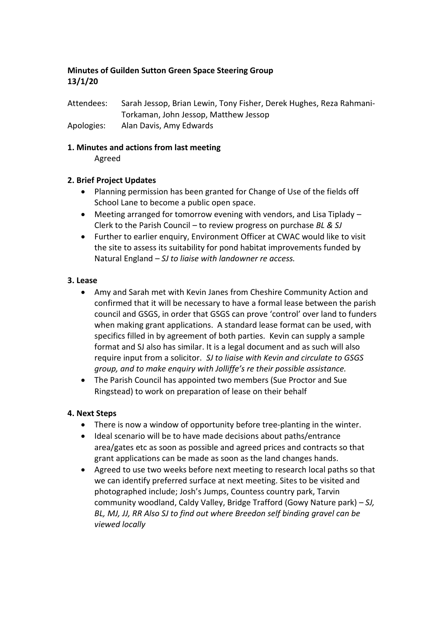### **Minutes of Guilden Sutton Green Space Steering Group 13/1/20**

Attendees: Sarah Jessop, Brian Lewin, Tony Fisher, Derek Hughes, Reza Rahmani-Torkaman, John Jessop, Matthew Jessop

Apologies: Alan Davis, Amy Edwards

### **1. Minutes and actions from last meeting**

Agreed

### **2. Brief Project Updates**

- Planning permission has been granted for Change of Use of the fields off School Lane to become a public open space.
- Meeting arranged for tomorrow evening with vendors, and Lisa Tiplady Clerk to the Parish Council – to review progress on purchase *BL & SJ*
- Further to earlier enquiry, Environment Officer at CWAC would like to visit the site to assess its suitability for pond habitat improvements funded by Natural England – *SJ to liaise with landowner re access.*

# **3. Lease**

- Amy and Sarah met with Kevin Janes from Cheshire Community Action and confirmed that it will be necessary to have a formal lease between the parish council and GSGS, in order that GSGS can prove 'control' over land to funders when making grant applications. A standard lease format can be used, with specifics filled in by agreement of both parties. Kevin can supply a sample format and SJ also has similar. It is a legal document and as such will also require input from a solicitor. *SJ to liaise with Kevin and circulate to GSGS group, and to make enquiry with Jolliffe's re their possible assistance.*
- The Parish Council has appointed two members (Sue Proctor and Sue Ringstead) to work on preparation of lease on their behalf

### **4. Next Steps**

- There is now a window of opportunity before tree-planting in the winter.
- Ideal scenario will be to have made decisions about paths/entrance area/gates etc as soon as possible and agreed prices and contracts so that grant applications can be made as soon as the land changes hands.
- Agreed to use two weeks before next meeting to research local paths so that we can identify preferred surface at next meeting. Sites to be visited and photographed include; Josh's Jumps, Countess country park, Tarvin community woodland, Caldy Valley, Bridge Trafford (Gowy Nature park) – *SJ, BL, MJ, JJ, RR Also SJ to find out where Breedon self binding gravel can be viewed locally*